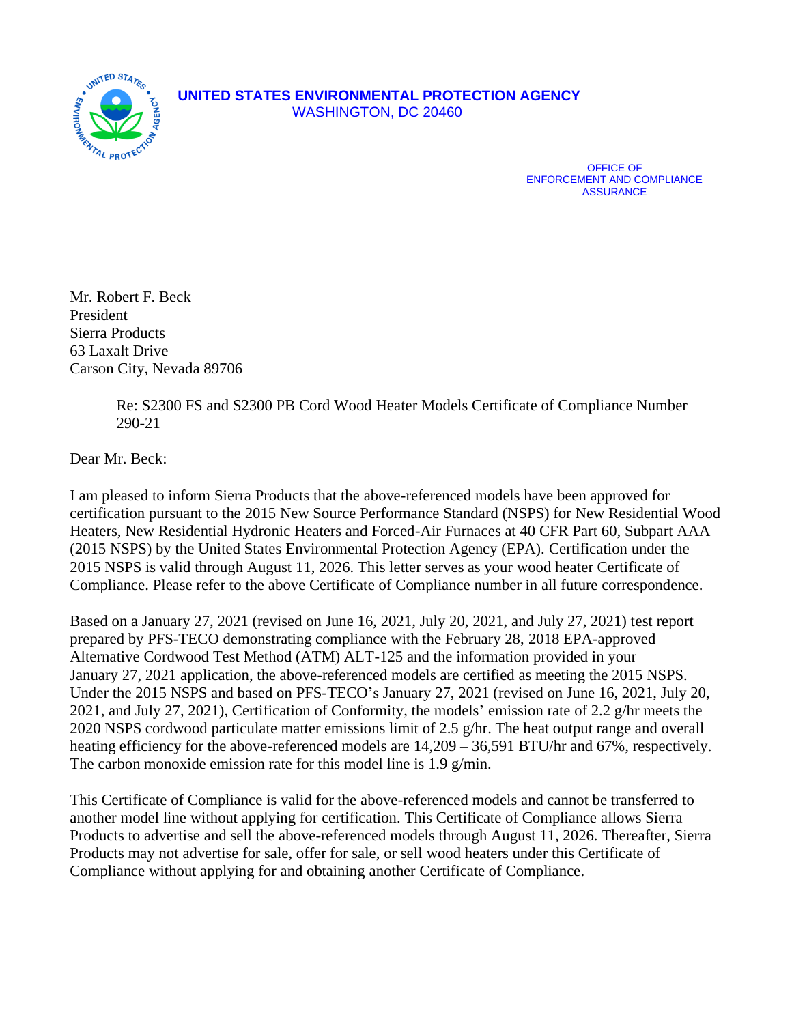

OFFICE OF ENFORCEMENT AND COMPLIANCE **ASSURANCE** 

Mr. Robert F. Beck President Sierra Products 63 Laxalt Drive Carson City, Nevada 89706

> Re: S2300 FS and S2300 PB Cord Wood Heater Models Certificate of Compliance Number 290-21

Dear Mr. Beck:

I am pleased to inform Sierra Products that the above-referenced models have been approved for certification pursuant to the 2015 New Source Performance Standard (NSPS) for New Residential Wood Heaters, New Residential Hydronic Heaters and Forced-Air Furnaces at 40 CFR Part 60, Subpart AAA (2015 NSPS) by the United States Environmental Protection Agency (EPA). Certification under the 2015 NSPS is valid through August 11, 2026. This letter serves as your wood heater Certificate of Compliance. Please refer to the above Certificate of Compliance number in all future correspondence.

Based on a January 27, 2021 (revised on June 16, 2021, July 20, 2021, and July 27, 2021) test report prepared by PFS-TECO demonstrating compliance with the February 28, 2018 EPA-approved Alternative Cordwood Test Method (ATM) ALT-125 and the information provided in your January 27, 2021 application, the above-referenced models are certified as meeting the 2015 NSPS. Under the 2015 NSPS and based on PFS-TECO's January 27, 2021 (revised on June 16, 2021, July 20, 2021, and July 27, 2021), Certification of Conformity, the models' emission rate of 2.2 g/hr meets the 2020 NSPS cordwood particulate matter emissions limit of 2.5 g/hr. The heat output range and overall heating efficiency for the above-referenced models are  $14,209 - 36,591$  BTU/hr and 67%, respectively. The carbon monoxide emission rate for this model line is 1.9 g/min.

This Certificate of Compliance is valid for the above-referenced models and cannot be transferred to another model line without applying for certification. This Certificate of Compliance allows Sierra Products to advertise and sell the above-referenced models through August 11, 2026. Thereafter, Sierra Products may not advertise for sale, offer for sale, or sell wood heaters under this Certificate of Compliance without applying for and obtaining another Certificate of Compliance.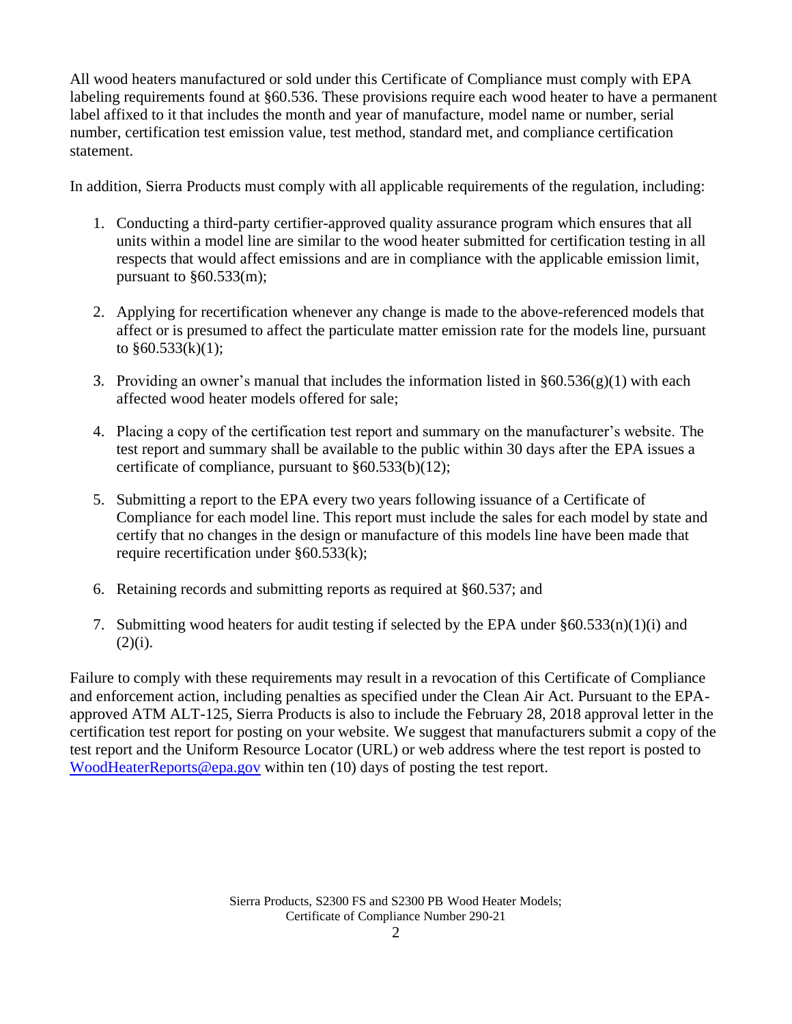All wood heaters manufactured or sold under this Certificate of Compliance must comply with EPA labeling requirements found at §60.536. These provisions require each wood heater to have a permanent label affixed to it that includes the month and year of manufacture, model name or number, serial number, certification test emission value, test method, standard met, and compliance certification statement.

In addition, Sierra Products must comply with all applicable requirements of the regulation, including:

- 1. Conducting a third-party certifier-approved quality assurance program which ensures that all units within a model line are similar to the wood heater submitted for certification testing in all respects that would affect emissions and are in compliance with the applicable emission limit, pursuant to  $§60.533(m);$
- 2. Applying for recertification whenever any change is made to the above-referenced models that affect or is presumed to affect the particulate matter emission rate for the models line, pursuant to  $§60.533(k)(1);$
- 3. Providing an owner's manual that includes the information listed in  $\S 60.536(g)(1)$  with each affected wood heater models offered for sale;
- 4. Placing a copy of the certification test report and summary on the manufacturer's website. The test report and summary shall be available to the public within 30 days after the EPA issues a certificate of compliance, pursuant to §60.533(b)(12);
- 5. Submitting a report to the EPA every two years following issuance of a Certificate of Compliance for each model line. This report must include the sales for each model by state and certify that no changes in the design or manufacture of this models line have been made that require recertification under §60.533(k);
- 6. Retaining records and submitting reports as required at §60.537; and
- 7. Submitting wood heaters for audit testing if selected by the EPA under  $§60.533(n)(1)(i)$  and  $(2)(i)$ .

Failure to comply with these requirements may result in a revocation of this Certificate of Compliance and enforcement action, including penalties as specified under the Clean Air Act. Pursuant to the EPAapproved ATM ALT-125, Sierra Products is also to include the February 28, 2018 approval letter in the certification test report for posting on your website. We suggest that manufacturers submit a copy of the test report and the Uniform Resource Locator (URL) or web address where the test report is posted to [WoodHeaterReports@epa.gov](mailto:WoodHeaterReports@epa.gov) within ten (10) days of posting the test report.